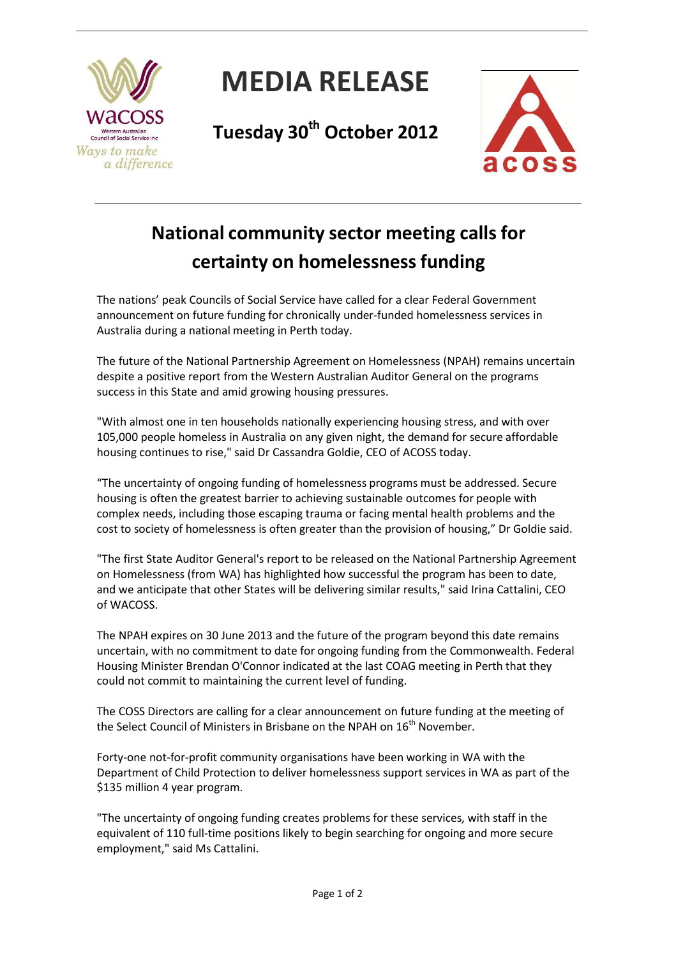

## **MEDIA RELEASE**

**Tuesday 30th October 2012**



## **National community sector meeting calls for certainty on homelessnessfunding**

The nations' peak Councils of Social Service have called for a clear Federal Government announcement on future funding for chronically under-funded homelessness services in Australia during a national meeting in Perth today.

The future of the National Partnership Agreement on Homelessness (NPAH) remains uncertain despite a positive report from the Western Australian Auditor General on the programs success in this State and amid growing housing pressures.

"With almost one in ten households nationally experiencing housing stress, and with over 105,000 people homeless in Australia on any given night, the demand for secure affordable housing continues to rise," said Dr Cassandra Goldie, CEO of ACOSS today.

"The uncertainty of ongoing funding of homelessness programs must be addressed. Secure housing is often the greatest barrier to achieving sustainable outcomes for people with complex needs, including those escaping trauma or facing mental health problems and the cost to society of homelessness is often greater than the provision of housing," Dr Goldie said.

"The first State Auditor General's report to be released on the National Partnership Agreement on Homelessness (from WA) has highlighted how successful the program has been to date, and we anticipate that other States will be delivering similar results," said Irina Cattalini, CEO of WACOSS.

The NPAH expires on 30 June 2013 and the future of the program beyond this date remains uncertain, with no commitment to date for ongoing funding from the Commonwealth. Federal Housing Minister Brendan O'Connor indicated at the last COAG meeting in Perth that they could not commit to maintaining the current level of funding.

The COSS Directors are calling for a clear announcement on future funding at the meeting of the Select Council of Ministers in Brisbane on the NPAH on  $16<sup>th</sup>$  November.

Forty-one not-for-profit community organisations have been working in WA with the Department of Child Protection to deliver homelessness support services in WA as part of the \$135 million 4 year program.

"The uncertainty of ongoing funding creates problems for these services, with staff in the equivalent of 110 full-time positions likely to begin searching for ongoing and more secure employment," said Ms Cattalini.